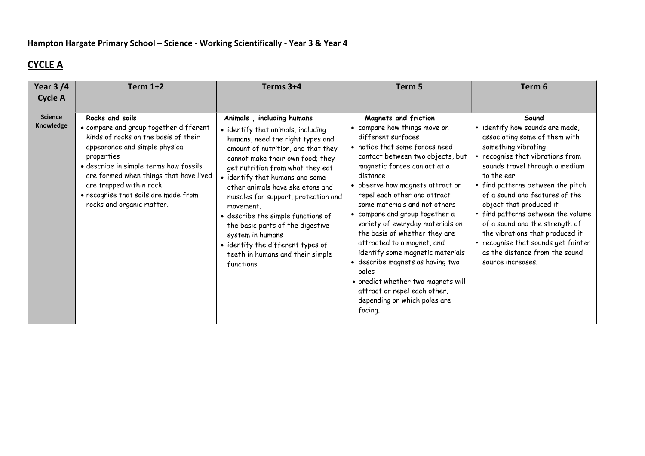## CYCLE A

| Year $3/4$                  | <b>Term 1+2</b>                                                                                                                                                                                                                                                                                                                       | Terms 3+4                                                                                                                                                                                                                                                                                                                                                                                                                                                                                                                        | Term 5                                                                                                                                                                                                                                                                                                                                                                                                                                                                                                                                                                                                                                   | Term 6                                                                                                                                                                                                                                                                                                                                                                                                                                                                                      |
|-----------------------------|---------------------------------------------------------------------------------------------------------------------------------------------------------------------------------------------------------------------------------------------------------------------------------------------------------------------------------------|----------------------------------------------------------------------------------------------------------------------------------------------------------------------------------------------------------------------------------------------------------------------------------------------------------------------------------------------------------------------------------------------------------------------------------------------------------------------------------------------------------------------------------|------------------------------------------------------------------------------------------------------------------------------------------------------------------------------------------------------------------------------------------------------------------------------------------------------------------------------------------------------------------------------------------------------------------------------------------------------------------------------------------------------------------------------------------------------------------------------------------------------------------------------------------|---------------------------------------------------------------------------------------------------------------------------------------------------------------------------------------------------------------------------------------------------------------------------------------------------------------------------------------------------------------------------------------------------------------------------------------------------------------------------------------------|
| <b>Cycle A</b>              |                                                                                                                                                                                                                                                                                                                                       |                                                                                                                                                                                                                                                                                                                                                                                                                                                                                                                                  |                                                                                                                                                                                                                                                                                                                                                                                                                                                                                                                                                                                                                                          |                                                                                                                                                                                                                                                                                                                                                                                                                                                                                             |
| <b>Science</b><br>Knowledge | Rocks and soils<br>• compare and group together different<br>kinds of rocks on the basis of their<br>appearance and simple physical<br>properties<br>· describe in simple terms how fossils<br>are formed when things that have lived<br>are trapped within rock<br>· recognise that soils are made from<br>rocks and organic matter. | Animals, including humans<br>• identify that animals, including<br>humans, need the right types and<br>amount of nutrition, and that they<br>cannot make their own food; they<br>get nutrition from what they eat<br>• identify that humans and some<br>other animals have skeletons and<br>muscles for support, protection and<br>movement.<br>• describe the simple functions of<br>the basic parts of the digestive<br>system in humans<br>• identify the different types of<br>teeth in humans and their simple<br>functions | Magnets and friction<br>• compare how things move on<br>different surfaces<br>• notice that some forces need<br>contact between two objects, but<br>magnetic forces can act at a<br>distance<br>• observe how magnets attract or<br>repel each other and attract<br>some materials and not others<br>• compare and group together a<br>variety of everyday materials on<br>the basis of whether they are<br>attracted to a magnet, and<br>identify some magnetic materials<br>· describe magnets as having two<br>poles<br>• predict whether two magnets will<br>attract or repel each other,<br>depending on which poles are<br>facing. | Sound<br>· identify how sounds are made,<br>associating some of them with<br>something vibrating<br>recognise that vibrations from<br>sounds travel through a medium<br>to the ear<br>• find patterns between the pitch<br>of a sound and features of the<br>object that produced it<br>• find patterns between the volume<br>of a sound and the strength of<br>the vibrations that produced it<br>recognise that sounds get fainter<br>as the distance from the sound<br>source increases. |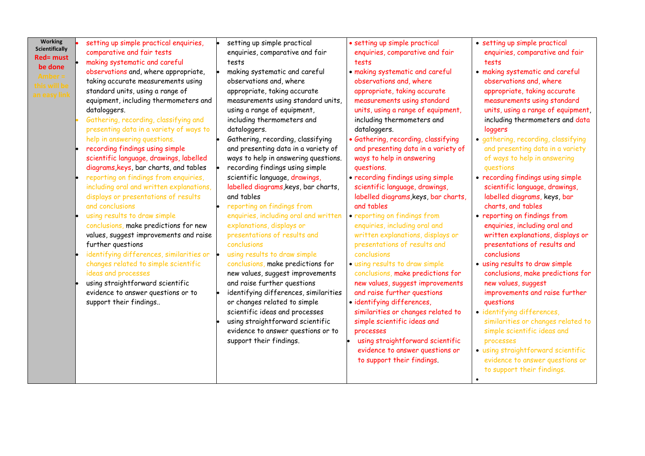| <b>Scientifically</b><br><b>Red= must</b><br>be done<br>nber =<br>is will be<br>a easy link | comparative and fair tests<br>making systematic and careful<br>observations and, where appropriate,<br>taking accurate measurements using<br>standard units, using a range of<br>equipment, including thermometers and<br>dataloggers.<br>Gathering, recording, classifying and<br>presenting data in a variety of ways to<br>help in answering questions.<br>recording findings using simple<br>scientific language, drawings, labelled<br>diagrams, keys, bar charts, and tables<br>reporting on findings from enquiries,<br>including oral and written explanations,<br>displays or presentations of results<br>and conclusions<br>using results to draw simple<br>conclusions, make predictions for new<br>values, suggest improvements and raise<br>further questions<br>identifying differences, similarities or<br>changes related to simple scientific<br>ideas and processes<br>using straightforward scientific<br>evidence to answer questions or to<br>support their findings | enquiries, comparative and fair<br>tests<br>making systematic and careful<br>observations and, where<br>appropriate, taking accurate<br>measurements using standard units,<br>using a range of equipment,<br>including thermometers and<br>dataloggers.<br>Gathering, recording, classifying<br>and presenting data in a variety of<br>ways to help in answering questions.<br>recording findings using simple<br>scientific language, drawings,<br>labelled diagrams, keys, bar charts,<br>and tables<br>reporting on findings from<br>enquiries, including oral and written<br>explanations, displays or<br>presentations of results and<br>conclusions<br>using results to draw simple<br>conclusions, make predictions for<br>new values, suggest improvements<br>and raise further questions<br>identifying differences, similarities<br>or changes related to simple<br>scientific ideas and processes<br>using straightforward scientific<br>evidence to answer questions or to<br>support their findings. | enquiries, comparative and fair<br>tests<br>· making systematic and careful<br>observations and, where<br>appropriate, taking accurate<br>measurements using standard<br>units, using a range of equipment,<br>including thermometers and<br>dataloggers.<br>· Gathering, recording, classifying<br>and presenting data in a variety of<br>ways to help in answering<br>questions.<br>· recording findings using simple<br>scientific language, drawings,<br>labelled diagrams, keys, bar charts,<br>and tables<br>• reporting on findings from<br>enquiries, including oral and<br>written explanations, displays or<br>presentations of results and<br>conclusions<br>· using results to draw simple<br>conclusions, make predictions for<br>new values, suggest improvements<br>and raise further questions<br>· identifying differences,<br>similarities or changes related to<br>simple scientific ideas and<br>processes<br>using straightforward scientific<br>evidence to answer questions or<br>to support their findings. | enquiries, comparative and fair<br>tests<br>· making systematic and careful<br>observations and, where<br>appropriate, taking accurate<br>measurements using standard<br>units, using a range of equipment,<br>including thermometers and data<br>loggers<br>· gathering, recording, classifying<br>and presenting data in a variety<br>of ways to help in answering<br>questions<br>• recording findings using simple<br>scientific language, drawings,<br>labelled diagrams, keys, bar<br>charts, and tables<br>• reporting on findings from<br>enquiries, including oral and<br>written explanations, displays or<br>presentations of results and<br>conclusions<br>· using results to draw simple<br>conclusions, make predictions for<br>new values, suggest<br>improvements and raise further<br>questions<br>· identifying differences,<br>similarities or changes related to<br>simple scientific ideas and<br>processes<br>· using straightforward scientific<br>evidence to answer questions or<br>to support their findings.<br>$\bullet$ |
|---------------------------------------------------------------------------------------------|-------------------------------------------------------------------------------------------------------------------------------------------------------------------------------------------------------------------------------------------------------------------------------------------------------------------------------------------------------------------------------------------------------------------------------------------------------------------------------------------------------------------------------------------------------------------------------------------------------------------------------------------------------------------------------------------------------------------------------------------------------------------------------------------------------------------------------------------------------------------------------------------------------------------------------------------------------------------------------------------|-------------------------------------------------------------------------------------------------------------------------------------------------------------------------------------------------------------------------------------------------------------------------------------------------------------------------------------------------------------------------------------------------------------------------------------------------------------------------------------------------------------------------------------------------------------------------------------------------------------------------------------------------------------------------------------------------------------------------------------------------------------------------------------------------------------------------------------------------------------------------------------------------------------------------------------------------------------------------------------------------------------------|-------------------------------------------------------------------------------------------------------------------------------------------------------------------------------------------------------------------------------------------------------------------------------------------------------------------------------------------------------------------------------------------------------------------------------------------------------------------------------------------------------------------------------------------------------------------------------------------------------------------------------------------------------------------------------------------------------------------------------------------------------------------------------------------------------------------------------------------------------------------------------------------------------------------------------------------------------------------------------------------------------------------------------------|------------------------------------------------------------------------------------------------------------------------------------------------------------------------------------------------------------------------------------------------------------------------------------------------------------------------------------------------------------------------------------------------------------------------------------------------------------------------------------------------------------------------------------------------------------------------------------------------------------------------------------------------------------------------------------------------------------------------------------------------------------------------------------------------------------------------------------------------------------------------------------------------------------------------------------------------------------------------------------------------------------------------------------------------------|
|---------------------------------------------------------------------------------------------|-------------------------------------------------------------------------------------------------------------------------------------------------------------------------------------------------------------------------------------------------------------------------------------------------------------------------------------------------------------------------------------------------------------------------------------------------------------------------------------------------------------------------------------------------------------------------------------------------------------------------------------------------------------------------------------------------------------------------------------------------------------------------------------------------------------------------------------------------------------------------------------------------------------------------------------------------------------------------------------------|-------------------------------------------------------------------------------------------------------------------------------------------------------------------------------------------------------------------------------------------------------------------------------------------------------------------------------------------------------------------------------------------------------------------------------------------------------------------------------------------------------------------------------------------------------------------------------------------------------------------------------------------------------------------------------------------------------------------------------------------------------------------------------------------------------------------------------------------------------------------------------------------------------------------------------------------------------------------------------------------------------------------|-------------------------------------------------------------------------------------------------------------------------------------------------------------------------------------------------------------------------------------------------------------------------------------------------------------------------------------------------------------------------------------------------------------------------------------------------------------------------------------------------------------------------------------------------------------------------------------------------------------------------------------------------------------------------------------------------------------------------------------------------------------------------------------------------------------------------------------------------------------------------------------------------------------------------------------------------------------------------------------------------------------------------------------|------------------------------------------------------------------------------------------------------------------------------------------------------------------------------------------------------------------------------------------------------------------------------------------------------------------------------------------------------------------------------------------------------------------------------------------------------------------------------------------------------------------------------------------------------------------------------------------------------------------------------------------------------------------------------------------------------------------------------------------------------------------------------------------------------------------------------------------------------------------------------------------------------------------------------------------------------------------------------------------------------------------------------------------------------|